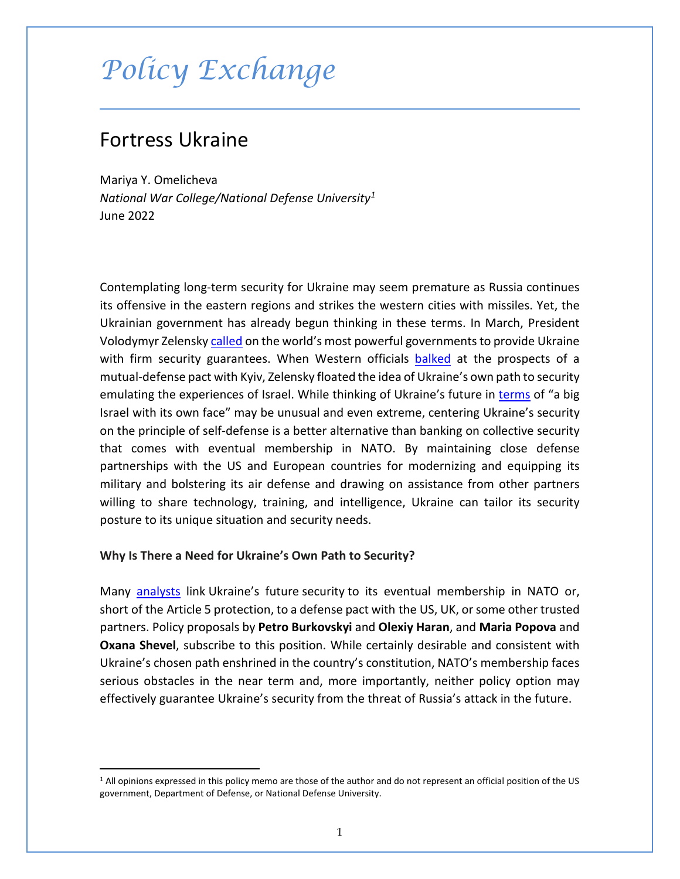# *Policy Exchange*

# Fortress Ukraine

Mariya Y. Omelicheva *National War College/National Defense University[1](#page-0-0)* June 2022

Contemplating long-term security for Ukraine may seem premature as Russia continues its offensive in the eastern regions and strikes the western cities with missiles. Yet, the Ukrainian government has already begun thinking in these terms. In March, President Volodymyr Zelensky [called](https://www.newsweek.com/zelensky-aide-ukraine-security-nato-russia-1696311) on the world's most powerful governments to provide Ukraine with firm security guarantees. When Western officials [balked](https://www.wsj.com/articles/ukraine-proposal-for-nato-style-security-guarantee-greeted-with-skepticism-11648683375) at the prospects of a mutual-defense pact with Kyiv, Zelensky floated the idea of Ukraine's own path to security emulating the experiences of Israel. While thinking of Ukraine's future in [terms](https://www.aljazeera.com/news/2022/4/5/zelenskyy-says-wants-ukraine-to-become-a-big-israel) of "a big Israel with its own face" may be unusual and even extreme, centering Ukraine's security on the principle of self-defense is a better alternative than banking on collective security that comes with eventual membership in NATO. By maintaining close defense partnerships with the US and European countries for modernizing and equipping its military and bolstering its air defense and drawing on assistance from other partners willing to share technology, training, and intelligence, Ukraine can tailor its security posture to its unique situation and security needs.

#### **Why Is There a Need for Ukraine's Own Path to Security?**

Many **[analysts](https://www.theatlantic.com/ideas/archive/2022/04/ukraine-join-nato-eu-membership/629619/)** link Ukraine's future security to its eventual membership in NATO or, short of the Article 5 protection, to a defense pact with the US, UK, or some other trusted partners. Policy proposals by **Petro Burkovskyi** and **Olexiy Haran**, and **Maria Popova** and **Oxana Shevel**, subscribe to this position. While certainly desirable and consistent with Ukraine's chosen path enshrined in the country's constitution, NATO's membership faces serious obstacles in the near term and, more importantly, neither policy option may effectively guarantee Ukraine's security from the threat of Russia's attack in the future.

<span id="page-0-0"></span><sup>&</sup>lt;sup>1</sup> All opinions expressed in this policy memo are those of the author and do not represent an official position of the US government, Department of Defense, or National Defense University.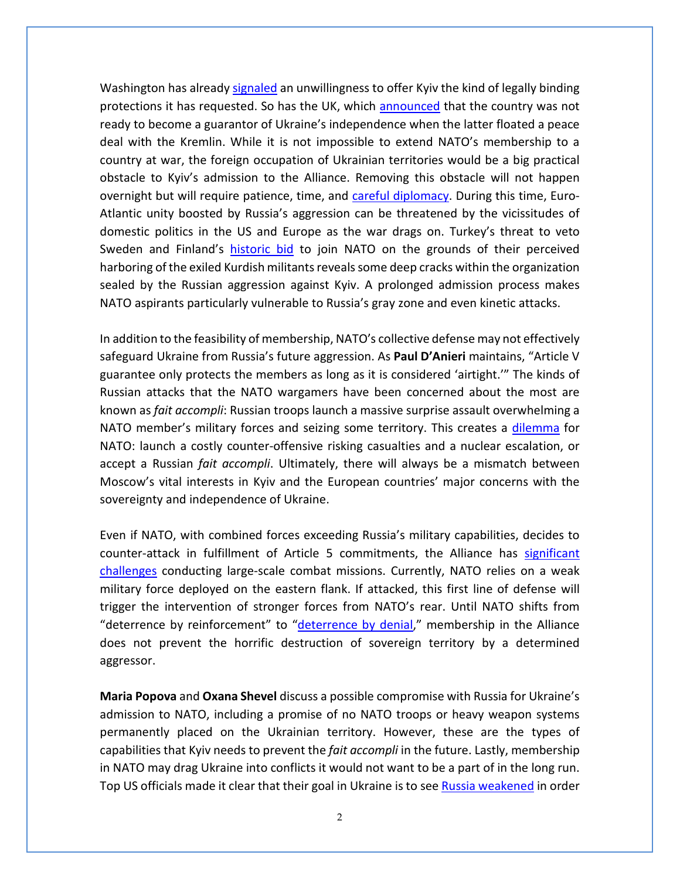Washington has alread[y signaled](https://www.cnn.com/2022/04/01/politics/ukraine-security-guarantee-discussions/index.html) an unwillingness to offer Kyiv the kind of legally binding protections it has requested. So has the UK, which [announced](https://kyivindependent.com/uncategorized/uk-not-ready-to-give-security-guarantees-to-ukraine/) that the country was not ready to become a guarantor of Ukraine's independence when the latter floated a peace deal with the Kremlin. While it is not impossible to extend NATO's membership to a country at war, the foreign occupation of Ukrainian territories would be a big practical obstacle to Kyiv's admission to the Alliance. Removing this obstacle will not happen overnight but will require patience, time, and [careful diplomacy.](https://www.theatlantic.com/ideas/archive/2022/04/ukraine-join-nato-eu-membership/629619/) During this time, Euro-Atlantic unity boosted by Russia's aggression can be threatened by the vicissitudes of domestic politics in the US and Europe as the war drags on. Turkey's threat to veto Sweden and Finland's [historic bid](https://www.webcenterfairbanks.com/2022/05/16/sweden-ends-neutrality-joins-finland-seeking-nato-berth/) to join NATO on the grounds of their perceived harboring of the exiled Kurdish militants reveals some deep cracks within the organization sealed by the Russian aggression against Kyiv. A prolonged admission process makes NATO aspirants particularly vulnerable to Russia's gray zone and even kinetic attacks.

In addition to the feasibility of membership, NATO's collective defense may not effectively safeguard Ukraine from Russia's future aggression. As **Paul D'Anieri** maintains, "Article V guarantee only protects the members as long as it is considered 'airtight.'" The kinds of Russian attacks that the NATO wargamers have been concerned about the most are known as *fait accompli*: Russian troops launch a massive surprise assault overwhelming a NATO member's military forces and seizing some territory. This creates a [dilemma](https://warontherocks.com/2021/11/feeding-the-bear-a-closer-look-at-russian-army-logistics/) for NATO: launch a costly counter-offensive risking casualties and a nuclear escalation, or accept a Russian *fait accompli*. Ultimately, there will always be a mismatch between Moscow's vital interests in Kyiv and the European countries' major concerns with the sovereignty and independence of Ukraine.

Even if NATO, with combined forces exceeding Russia's military capabilities, decides to counter-attack in fulfillment of Article 5 commitments, the Alliance has [significant](https://www.csis.org/analysis/future-nato-enlargement-force-requirements-and-budget-costs)  [challenges](https://www.csis.org/analysis/future-nato-enlargement-force-requirements-and-budget-costs) conducting large-scale combat missions. Currently, NATO relies on a weak military force deployed on the eastern flank. If attacked, this first line of defense will trigger the intervention of stronger forces from NATO's rear. Until NATO shifts from "deterrence by reinforcement" to ["deterrence by denial,](https://www.politico.eu/article/nato-summit-europe-brussels-war-in-ukraine/)" membership in the Alliance does not prevent the horrific destruction of sovereign territory by a determined aggressor.

**Maria Popova** and **Oxana Shevel** discuss a possible compromise with Russia for Ukraine's admission to NATO, including a promise of no NATO troops or heavy weapon systems permanently placed on the Ukrainian territory. However, these are the types of capabilities that Kyiv needs to prevent the *fait accompli* in the future. Lastly, membership in NATO may drag Ukraine into conflicts it would not want to be a part of in the long run. Top US officials made it clear that their goal in Ukraine is to se[e Russia weakened](https://www.nytimes.com/2022/04/25/us/politics/ukraine-russia-us-dynamic.html) in order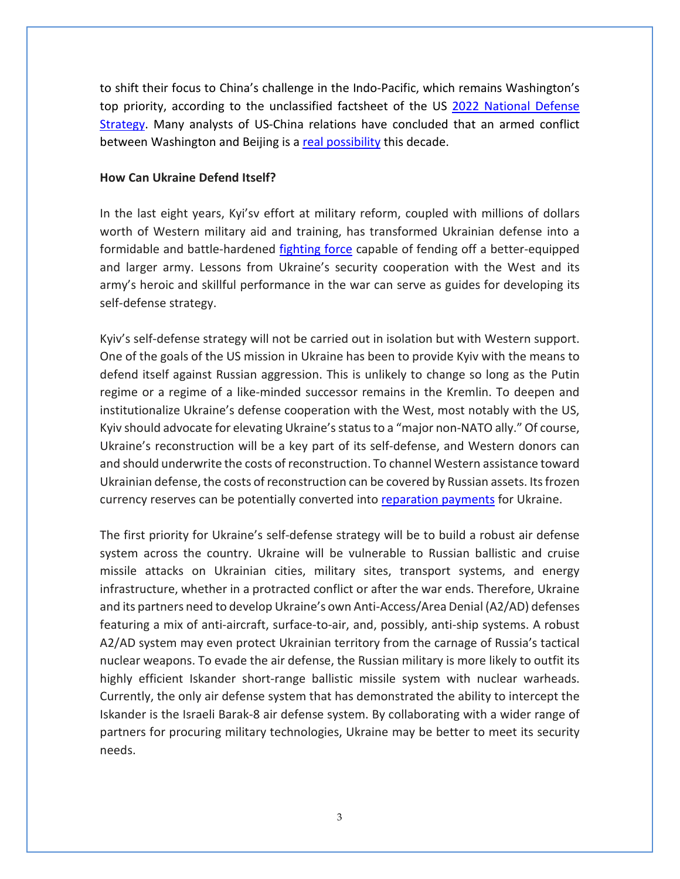to shift their focus to China's challenge in the Indo-Pacific, which remains Washington's top priority, according to the unclassified factsheet of the US [2022 National Defense](https://media.defense.gov/2022/Mar/28/2002964702/-1/-1/1/NDS-FACT-SHEET.PDF)  [Strategy.](https://media.defense.gov/2022/Mar/28/2002964702/-1/-1/1/NDS-FACT-SHEET.PDF) Many analysts of US-China relations have concluded that an armed conflict between Washington and Beijing is a [real possibility](https://www.theguardian.com/world/2022/apr/07/how-to-stop-china-and-the-us-going-to-war) this decade.

### **How Can Ukraine Defend Itself?**

In the last eight years, Kyi'sv effort at military reform, coupled with millions of dollars worth of Western military aid and training, has transformed Ukrainian defense into a formidable and battle-hardened [fighting](https://www.wsj.com/articles/russian-advance-is-blunted-by-ukrainian-tactics-war-tested-troops-and-western-weapons-11646575579?mod=article_inline) force capable of fending off a better-equipped and larger army. Lessons from Ukraine's security cooperation with the West and its army's heroic and skillful performance in the war can serve as guides for developing its self-defense strategy.

Kyiv's self-defense strategy will not be carried out in isolation but with Western support. One of the goals of the US mission in Ukraine has been to provide Kyiv with the means to defend itself against Russian aggression. This is unlikely to change so long as the Putin regime or a regime of a like-minded successor remains in the Kremlin. To deepen and institutionalize Ukraine's defense cooperation with the West, most notably with the US, Kyiv should advocate for elevating Ukraine's status to a "major non-NATO ally." Of course, Ukraine's reconstruction will be a key part of its self-defense, and Western donors can and should underwrite the costs of reconstruction. To channel Western assistance toward Ukrainian defense, the costs of reconstruction can be covered by Russian assets. Itsfrozen currency reserves can be potentially converted into [reparation](https://www.aspistrategist.org.au/russia-must-foot-the-bill-for-rebuilding-ukraine/) payments for Ukraine.

The first priority for Ukraine's self-defense strategy will be to build a robust air defense system across the country. Ukraine will be vulnerable to Russian ballistic and cruise missile attacks on Ukrainian cities, military sites, transport systems, and energy infrastructure, whether in a protracted conflict or after the war ends. Therefore, Ukraine and its partners need to develop Ukraine's own Anti-Access/Area Denial (A2/AD) defenses featuring a mix of anti-aircraft, surface-to-air, and, possibly, anti-ship systems. A robust A2/AD system may even protect Ukrainian territory from the carnage of Russia's tactical nuclear weapons. To evade the air defense, the Russian military is more likely to outfit its highly efficient Iskander short-range ballistic missile system with nuclear warheads. Currently, the only air defense system that has demonstrated the ability to intercept the Iskander is the Israeli Barak-8 air defense system. By collaborating with a wider range of partners for procuring military technologies, Ukraine may be better to meet its security needs.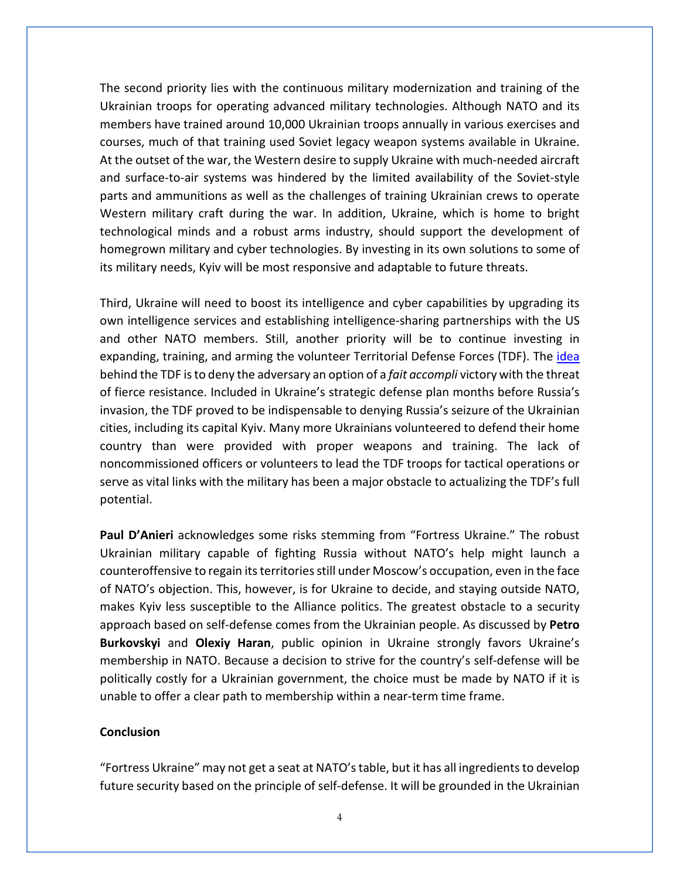The second priority lies with the continuous military modernization and training of the Ukrainian troops for operating advanced military technologies. Although NATO and its members have trained around 10,000 Ukrainian troops annually in various exercises and courses, much of that training used Soviet legacy weapon systems available in Ukraine. At the outset of the war, the Western desire to supply Ukraine with much-needed aircraft and surface-to-air systems was hindered by the limited availability of the Soviet-style parts and ammunitions as well as the challenges of training Ukrainian crews to operate Western military craft during the war. In addition, Ukraine, which is home to bright technological minds and a robust arms industry, should support the development of homegrown military and cyber technologies. By investing in its own solutions to some of its military needs, Kyiv will be most responsive and adaptable to future threats.

Third, Ukraine will need to boost its intelligence and cyber capabilities by upgrading its own intelligence services and establishing intelligence-sharing partnerships with the US and other NATO members. Still, another priority will be to continue investing in expanding, training, and arming the volunteer Territorial Defense Forces (TDF). The [idea](https://warontherocks.com/2022/03/the-view-of-ukraine-from-taiwan-get-real-about-territorial-defense/) behind the TDF is to deny the adversary an option of a *fait accompli* victory with the threat of fierce resistance. Included in Ukraine's strategic defense plan months before Russia's invasion, the TDF proved to be indispensable to denying Russia's seizure of the Ukrainian cities, including its capital Kyiv. Many more Ukrainians volunteered to defend their home country than were provided with proper weapons and training. The lack of noncommissioned officers or volunteers to lead the TDF troops for tactical operations or serve as vital links with the military has been a major obstacle to actualizing the TDF's full potential.

**Paul D'Anieri** acknowledges some risks stemming from "Fortress Ukraine." The robust Ukrainian military capable of fighting Russia without NATO's help might launch a counteroffensive to regain its territories still under Moscow's occupation, even in the face of NATO's objection. This, however, is for Ukraine to decide, and staying outside NATO, makes Kyiv less susceptible to the Alliance politics. The greatest obstacle to a security approach based on self-defense comes from the Ukrainian people. As discussed by **Petro Burkovskyi** and **Olexiy Haran**, public opinion in Ukraine strongly favors Ukraine's membership in NATO. Because a decision to strive for the country's self-defense will be politically costly for a Ukrainian government, the choice must be made by NATO if it is unable to offer a clear path to membership within a near-term time frame.

## **Conclusion**

"Fortress Ukraine" may not get a seat at NATO's table, but it has all ingredients to develop future security based on the principle of self-defense. It will be grounded in the Ukrainian